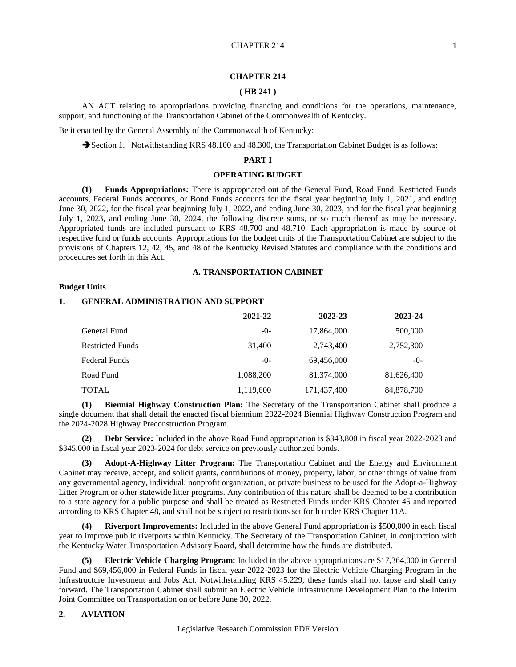#### **CHAPTER 214**

## **( HB 241 )**

AN ACT relating to appropriations providing financing and conditions for the operations, maintenance, support, and functioning of the Transportation Cabinet of the Commonwealth of Kentucky.

Be it enacted by the General Assembly of the Commonwealth of Kentucky:

Section 1. Notwithstanding KRS 48.100 and 48.300, the Transportation Cabinet Budget is as follows:

## **PART I**

# **OPERATING BUDGET**

**(1) Funds Appropriations:** There is appropriated out of the General Fund, Road Fund, Restricted Funds accounts, Federal Funds accounts, or Bond Funds accounts for the fiscal year beginning July 1, 2021, and ending June 30, 2022, for the fiscal year beginning July 1, 2022, and ending June 30, 2023, and for the fiscal year beginning July 1, 2023, and ending June 30, 2024, the following discrete sums, or so much thereof as may be necessary. Appropriated funds are included pursuant to KRS 48.700 and 48.710. Each appropriation is made by source of respective fund or funds accounts. Appropriations for the budget units of the Transportation Cabinet are subject to the provisions of Chapters 12, 42, 45, and 48 of the Kentucky Revised Statutes and compliance with the conditions and procedures set forth in this Act.

#### **A. TRANSPORTATION CABINET**

## **Budget Units**

#### **1. GENERAL ADMINISTRATION AND SUPPORT**

|                         | 2021-22   | 2022-23     | 2023-24    |
|-------------------------|-----------|-------------|------------|
| General Fund            | $-0-$     | 17,864,000  | 500,000    |
| <b>Restricted Funds</b> | 31,400    | 2,743,400   | 2,752,300  |
| <b>Federal Funds</b>    | $-()$ -   | 69,456,000  | $-()$ -    |
| Road Fund               | 1,088,200 | 81,374,000  | 81,626,400 |
| <b>TOTAL</b>            | 1,119,600 | 171,437,400 | 84,878,700 |

**(1) Biennial Highway Construction Plan:** The Secretary of the Transportation Cabinet shall produce a single document that shall detail the enacted fiscal biennium 2022-2024 Biennial Highway Construction Program and the 2024-2028 Highway Preconstruction Program.

**(2) Debt Service:** Included in the above Road Fund appropriation is \$343,800 in fiscal year 2022-2023 and \$345,000 in fiscal year 2023-2024 for debt service on previously authorized bonds.

**(3) Adopt-A-Highway Litter Program:** The Transportation Cabinet and the Energy and Environment Cabinet may receive, accept, and solicit grants, contributions of money, property, labor, or other things of value from any governmental agency, individual, nonprofit organization, or private business to be used for the Adopt-a-Highway Litter Program or other statewide litter programs. Any contribution of this nature shall be deemed to be a contribution to a state agency for a public purpose and shall be treated as Restricted Funds under KRS Chapter 45 and reported according to KRS Chapter 48, and shall not be subject to restrictions set forth under KRS Chapter 11A.

**(4) Riverport Improvements:** Included in the above General Fund appropriation is \$500,000 in each fiscal year to improve public riverports within Kentucky. The Secretary of the Transportation Cabinet, in conjunction with the Kentucky Water Transportation Advisory Board, shall determine how the funds are distributed.

**(5) Electric Vehicle Charging Program:** Included in the above appropriations are \$17,364,000 in General Fund and \$69,456,000 in Federal Funds in fiscal year 2022-2023 for the Electric Vehicle Charging Program in the Infrastructure Investment and Jobs Act. Notwithstanding KRS 45.229, these funds shall not lapse and shall carry forward. The Transportation Cabinet shall submit an Electric Vehicle Infrastructure Development Plan to the Interim Joint Committee on Transportation on or before June 30, 2022.

#### **2. AVIATION**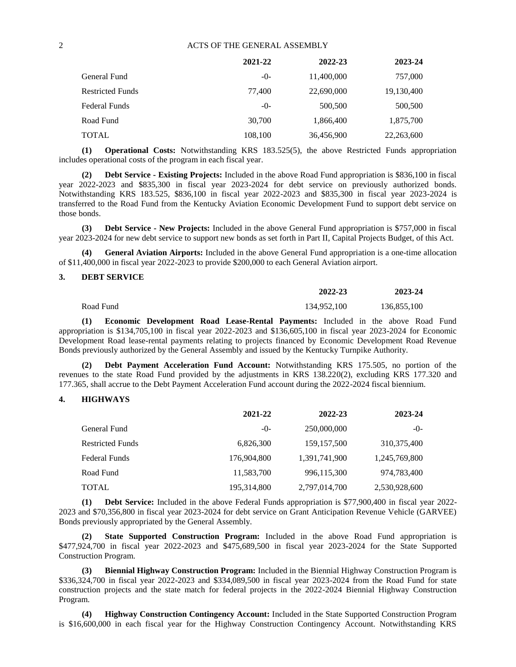|                         | 2021-22 | 2022-23    | 2023-24    |
|-------------------------|---------|------------|------------|
| General Fund            | $-0-$   | 11,400,000 | 757,000    |
| <b>Restricted Funds</b> | 77,400  | 22,690,000 | 19,130,400 |
| <b>Federal Funds</b>    | -0-     | 500,500    | 500,500    |
| Road Fund               | 30,700  | 1,866,400  | 1,875,700  |
| <b>TOTAL</b>            | 108,100 | 36,456,900 | 22,263,600 |

**(1) Operational Costs:** Notwithstanding KRS 183.525(5), the above Restricted Funds appropriation includes operational costs of the program in each fiscal year.

**(2) Debt Service - Existing Projects:** Included in the above Road Fund appropriation is \$836,100 in fiscal year 2022-2023 and \$835,300 in fiscal year 2023-2024 for debt service on previously authorized bonds. Notwithstanding KRS 183.525, \$836,100 in fiscal year 2022-2023 and \$835,300 in fiscal year 2023-2024 is transferred to the Road Fund from the Kentucky Aviation Economic Development Fund to support debt service on those bonds.

**(3) Debt Service - New Projects:** Included in the above General Fund appropriation is \$757,000 in fiscal year 2023-2024 for new debt service to support new bonds as set forth in Part II, Capital Projects Budget, of this Act.

**(4) General Aviation Airports:** Included in the above General Fund appropriation is a one-time allocation of \$11,400,000 in fiscal year 2022-2023 to provide \$200,000 to each General Aviation airport.

## **3. DEBT SERVICE**

|           | 2022-23     | 2023-24     |
|-----------|-------------|-------------|
| Road Fund | 134,952,100 | 136,855,100 |

**(1) Economic Development Road Lease-Rental Payments:** Included in the above Road Fund appropriation is \$134,705,100 in fiscal year 2022-2023 and \$136,605,100 in fiscal year 2023-2024 for Economic Development Road lease-rental payments relating to projects financed by Economic Development Road Revenue Bonds previously authorized by the General Assembly and issued by the Kentucky Turnpike Authority.

**(2) Debt Payment Acceleration Fund Account:** Notwithstanding KRS 175.505, no portion of the revenues to the state Road Fund provided by the adjustments in KRS 138.220(2), excluding KRS 177.320 and 177.365, shall accrue to the Debt Payment Acceleration Fund account during the 2022-2024 fiscal biennium.

#### **4. HIGHWAYS**

|                         | 2021-22     | 2022-23       | 2023-24       |
|-------------------------|-------------|---------------|---------------|
| General Fund            | -0-         | 250,000,000   | $-0-$         |
| <b>Restricted Funds</b> | 6,826,300   | 159, 157, 500 | 310, 375, 400 |
| Federal Funds           | 176,904,800 | 1,391,741,900 | 1,245,769,800 |
| Road Fund               | 11,583,700  | 996,115,300   | 974,783,400   |
| TOTAL                   | 195,314,800 | 2,797,014,700 | 2,530,928,600 |

**(1) Debt Service:** Included in the above Federal Funds appropriation is \$77,900,400 in fiscal year 2022- 2023 and \$70,356,800 in fiscal year 2023-2024 for debt service on Grant Anticipation Revenue Vehicle (GARVEE) Bonds previously appropriated by the General Assembly.

**(2) State Supported Construction Program:** Included in the above Road Fund appropriation is \$477,924,700 in fiscal year 2022-2023 and \$475,689,500 in fiscal year 2023-2024 for the State Supported Construction Program.

**(3) Biennial Highway Construction Program:** Included in the Biennial Highway Construction Program is \$336,324,700 in fiscal year 2022-2023 and \$334,089,500 in fiscal year 2023-2024 from the Road Fund for state construction projects and the state match for federal projects in the 2022-2024 Biennial Highway Construction Program.

**(4) Highway Construction Contingency Account:** Included in the State Supported Construction Program is \$16,600,000 in each fiscal year for the Highway Construction Contingency Account. Notwithstanding KRS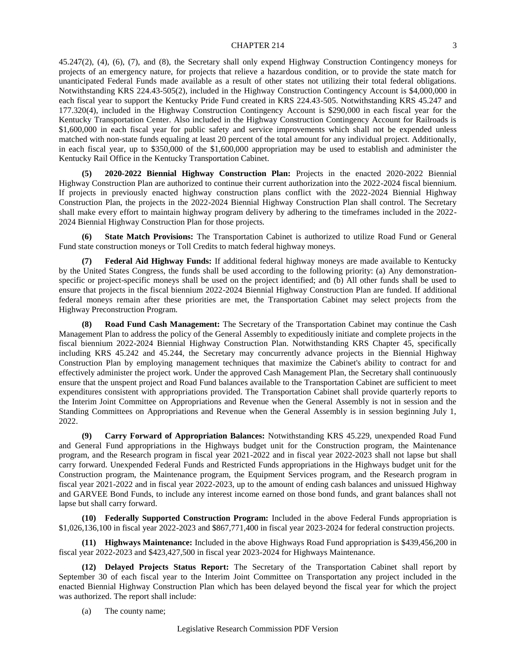45.247(2), (4), (6), (7), and (8), the Secretary shall only expend Highway Construction Contingency moneys for projects of an emergency nature, for projects that relieve a hazardous condition, or to provide the state match for unanticipated Federal Funds made available as a result of other states not utilizing their total federal obligations. Notwithstanding KRS 224.43-505(2), included in the Highway Construction Contingency Account is \$4,000,000 in each fiscal year to support the Kentucky Pride Fund created in KRS 224.43-505. Notwithstanding KRS 45.247 and 177.320(4), included in the Highway Construction Contingency Account is \$290,000 in each fiscal year for the Kentucky Transportation Center. Also included in the Highway Construction Contingency Account for Railroads is \$1,600,000 in each fiscal year for public safety and service improvements which shall not be expended unless matched with non-state funds equaling at least 20 percent of the total amount for any individual project. Additionally, in each fiscal year, up to \$350,000 of the \$1,600,000 appropriation may be used to establish and administer the Kentucky Rail Office in the Kentucky Transportation Cabinet.

**(5) 2020-2022 Biennial Highway Construction Plan:** Projects in the enacted 2020-2022 Biennial Highway Construction Plan are authorized to continue their current authorization into the 2022-2024 fiscal biennium. If projects in previously enacted highway construction plans conflict with the 2022-2024 Biennial Highway Construction Plan, the projects in the 2022-2024 Biennial Highway Construction Plan shall control. The Secretary shall make every effort to maintain highway program delivery by adhering to the timeframes included in the 2022- 2024 Biennial Highway Construction Plan for those projects.

**(6) State Match Provisions:** The Transportation Cabinet is authorized to utilize Road Fund or General Fund state construction moneys or Toll Credits to match federal highway moneys.

**(7) Federal Aid Highway Funds:** If additional federal highway moneys are made available to Kentucky by the United States Congress, the funds shall be used according to the following priority: (a) Any demonstrationspecific or project-specific moneys shall be used on the project identified; and (b) All other funds shall be used to ensure that projects in the fiscal biennium 2022-2024 Biennial Highway Construction Plan are funded. If additional federal moneys remain after these priorities are met, the Transportation Cabinet may select projects from the Highway Preconstruction Program.

**(8) Road Fund Cash Management:** The Secretary of the Transportation Cabinet may continue the Cash Management Plan to address the policy of the General Assembly to expeditiously initiate and complete projects in the fiscal biennium 2022-2024 Biennial Highway Construction Plan. Notwithstanding KRS Chapter 45, specifically including KRS 45.242 and 45.244, the Secretary may concurrently advance projects in the Biennial Highway Construction Plan by employing management techniques that maximize the Cabinet's ability to contract for and effectively administer the project work. Under the approved Cash Management Plan, the Secretary shall continuously ensure that the unspent project and Road Fund balances available to the Transportation Cabinet are sufficient to meet expenditures consistent with appropriations provided. The Transportation Cabinet shall provide quarterly reports to the Interim Joint Committee on Appropriations and Revenue when the General Assembly is not in session and the Standing Committees on Appropriations and Revenue when the General Assembly is in session beginning July 1, 2022.

**(9) Carry Forward of Appropriation Balances:** Notwithstanding KRS 45.229, unexpended Road Fund and General Fund appropriations in the Highways budget unit for the Construction program, the Maintenance program, and the Research program in fiscal year 2021-2022 and in fiscal year 2022-2023 shall not lapse but shall carry forward. Unexpended Federal Funds and Restricted Funds appropriations in the Highways budget unit for the Construction program, the Maintenance program, the Equipment Services program, and the Research program in fiscal year 2021-2022 and in fiscal year 2022-2023, up to the amount of ending cash balances and unissued Highway and GARVEE Bond Funds, to include any interest income earned on those bond funds, and grant balances shall not lapse but shall carry forward.

**(10) Federally Supported Construction Program:** Included in the above Federal Funds appropriation is \$1,026,136,100 in fiscal year 2022-2023 and \$867,771,400 in fiscal year 2023-2024 for federal construction projects.

**(11) Highways Maintenance:** Included in the above Highways Road Fund appropriation is \$439,456,200 in fiscal year 2022-2023 and \$423,427,500 in fiscal year 2023-2024 for Highways Maintenance.

**(12) Delayed Projects Status Report:** The Secretary of the Transportation Cabinet shall report by September 30 of each fiscal year to the Interim Joint Committee on Transportation any project included in the enacted Biennial Highway Construction Plan which has been delayed beyond the fiscal year for which the project was authorized. The report shall include:

(a) The county name;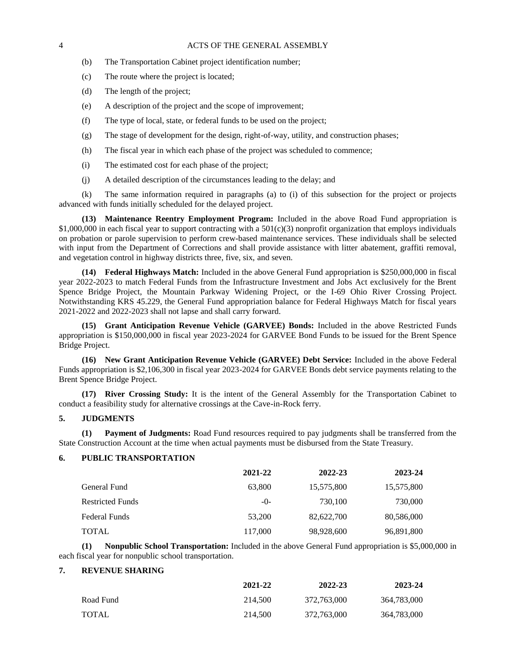- (b) The Transportation Cabinet project identification number;
- (c) The route where the project is located;
- (d) The length of the project;
- (e) A description of the project and the scope of improvement;
- (f) The type of local, state, or federal funds to be used on the project;
- (g) The stage of development for the design, right-of-way, utility, and construction phases;
- (h) The fiscal year in which each phase of the project was scheduled to commence;
- (i) The estimated cost for each phase of the project;
- (j) A detailed description of the circumstances leading to the delay; and

(k) The same information required in paragraphs (a) to (i) of this subsection for the project or projects advanced with funds initially scheduled for the delayed project.

**(13) Maintenance Reentry Employment Program:** Included in the above Road Fund appropriation is \$1,000,000 in each fiscal year to support contracting with a  $501(c)(3)$  nonprofit organization that employs individuals on probation or parole supervision to perform crew-based maintenance services. These individuals shall be selected with input from the Department of Corrections and shall provide assistance with litter abatement, graffiti removal, and vegetation control in highway districts three, five, six, and seven.

**(14) Federal Highways Match:** Included in the above General Fund appropriation is \$250,000,000 in fiscal year 2022-2023 to match Federal Funds from the Infrastructure Investment and Jobs Act exclusively for the Brent Spence Bridge Project, the Mountain Parkway Widening Project, or the I-69 Ohio River Crossing Project. Notwithstanding KRS 45.229, the General Fund appropriation balance for Federal Highways Match for fiscal years 2021-2022 and 2022-2023 shall not lapse and shall carry forward.

**(15) Grant Anticipation Revenue Vehicle (GARVEE) Bonds:** Included in the above Restricted Funds appropriation is \$150,000,000 in fiscal year 2023-2024 for GARVEE Bond Funds to be issued for the Brent Spence Bridge Project.

**(16) New Grant Anticipation Revenue Vehicle (GARVEE) Debt Service:** Included in the above Federal Funds appropriation is \$2,106,300 in fiscal year 2023-2024 for GARVEE Bonds debt service payments relating to the Brent Spence Bridge Project.

**(17) River Crossing Study:** It is the intent of the General Assembly for the Transportation Cabinet to conduct a feasibility study for alternative crossings at the Cave-in-Rock ferry.

## **5. JUDGMENTS**

**(1) Payment of Judgments:** Road Fund resources required to pay judgments shall be transferred from the State Construction Account at the time when actual payments must be disbursed from the State Treasury.

## **6. PUBLIC TRANSPORTATION**

|                         | 2021-22 | 2022-23    | 2023-24    |
|-------------------------|---------|------------|------------|
| General Fund            | 63,800  | 15,575,800 | 15,575,800 |
| <b>Restricted Funds</b> | $-()$ - | 730.100    | 730,000    |
| Federal Funds           | 53,200  | 82,622,700 | 80,586,000 |
| <b>TOTAL</b>            | 117,000 | 98,928,600 | 96,891,800 |

**(1) Nonpublic School Transportation:** Included in the above General Fund appropriation is \$5,000,000 in each fiscal year for nonpublic school transportation.

#### **7. REVENUE SHARING**

|              | 2021-22 | 2022-23     | 2023-24     |
|--------------|---------|-------------|-------------|
| Road Fund    | 214,500 | 372,763,000 | 364,783,000 |
| <b>TOTAL</b> | 214,500 | 372,763,000 | 364,783,000 |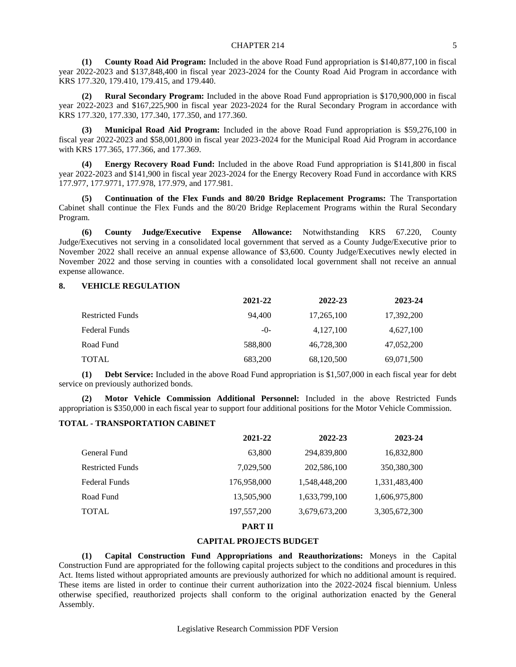**(1) County Road Aid Program:** Included in the above Road Fund appropriation is \$140,877,100 in fiscal year 2022-2023 and \$137,848,400 in fiscal year 2023-2024 for the County Road Aid Program in accordance with KRS 177.320, 179.410, 179.415, and 179.440.

**(2) Rural Secondary Program:** Included in the above Road Fund appropriation is \$170,900,000 in fiscal year 2022-2023 and \$167,225,900 in fiscal year 2023-2024 for the Rural Secondary Program in accordance with KRS 177.320, 177.330, 177.340, 177.350, and 177.360.

**(3) Municipal Road Aid Program:** Included in the above Road Fund appropriation is \$59,276,100 in fiscal year 2022-2023 and \$58,001,800 in fiscal year 2023-2024 for the Municipal Road Aid Program in accordance with KRS 177.365, 177.366, and 177.369.

**(4) Energy Recovery Road Fund:** Included in the above Road Fund appropriation is \$141,800 in fiscal year 2022-2023 and \$141,900 in fiscal year 2023-2024 for the Energy Recovery Road Fund in accordance with KRS 177.977, 177.9771, 177.978, 177.979, and 177.981.

**(5) Continuation of the Flex Funds and 80/20 Bridge Replacement Programs:** The Transportation Cabinet shall continue the Flex Funds and the 80/20 Bridge Replacement Programs within the Rural Secondary Program.

**(6) County Judge/Executive Expense Allowance:** Notwithstanding KRS 67.220, County Judge/Executives not serving in a consolidated local government that served as a County Judge/Executive prior to November 2022 shall receive an annual expense allowance of \$3,600. County Judge/Executives newly elected in November 2022 and those serving in counties with a consolidated local government shall not receive an annual expense allowance.

### **8. VEHICLE REGULATION**

| 2021-22 | 2022-23    | 2023-24    |
|---------|------------|------------|
| 94.400  | 17,265,100 | 17,392,200 |
| $-()$ - | 4,127,100  | 4,627,100  |
| 588,800 | 46,728,300 | 47,052,200 |
| 683,200 | 68,120,500 | 69,071,500 |
|         |            |            |

**(1) Debt Service:** Included in the above Road Fund appropriation is \$1,507,000 in each fiscal year for debt service on previously authorized bonds.

**(2) Motor Vehicle Commission Additional Personnel:** Included in the above Restricted Funds appropriation is \$350,000 in each fiscal year to support four additional positions for the Motor Vehicle Commission.

## **TOTAL - TRANSPORTATION CABINET**

|                         | 2021-22       | 2022-23       | 2023-24       |
|-------------------------|---------------|---------------|---------------|
| General Fund            | 63,800        | 294,839,800   | 16,832,800    |
| <b>Restricted Funds</b> | 7,029,500     | 202,586,100   | 350,380,300   |
| Federal Funds           | 176,958,000   | 1,548,448,200 | 1,331,483,400 |
| Road Fund               | 13,505,900    | 1,633,799,100 | 1,606,975,800 |
| TOTAL                   | 197, 557, 200 | 3,679,673,200 | 3,305,672,300 |
|                         | PART II       |               |               |

## **CAPITAL PROJECTS BUDGET**

**(1) Capital Construction Fund Appropriations and Reauthorizations:** Moneys in the Capital Construction Fund are appropriated for the following capital projects subject to the conditions and procedures in this Act. Items listed without appropriated amounts are previously authorized for which no additional amount is required. These items are listed in order to continue their current authorization into the 2022-2024 fiscal biennium. Unless otherwise specified, reauthorized projects shall conform to the original authorization enacted by the General Assembly.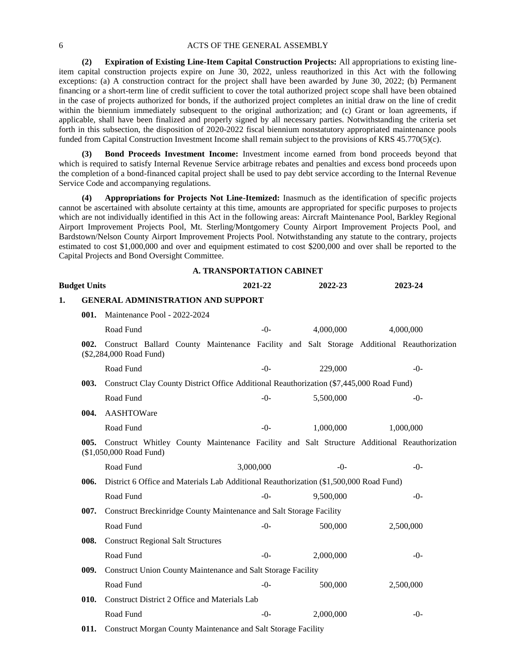**(2) Expiration of Existing Line-Item Capital Construction Projects:** All appropriations to existing lineitem capital construction projects expire on June 30, 2022, unless reauthorized in this Act with the following exceptions: (a) A construction contract for the project shall have been awarded by June 30, 2022; (b) Permanent financing or a short-term line of credit sufficient to cover the total authorized project scope shall have been obtained in the case of projects authorized for bonds, if the authorized project completes an initial draw on the line of credit within the biennium immediately subsequent to the original authorization; and (c) Grant or loan agreements, if applicable, shall have been finalized and properly signed by all necessary parties. Notwithstanding the criteria set forth in this subsection, the disposition of 2020-2022 fiscal biennium nonstatutory appropriated maintenance pools funded from Capital Construction Investment Income shall remain subject to the provisions of KRS 45.770(5)(c).

**(3) Bond Proceeds Investment Income:** Investment income earned from bond proceeds beyond that which is required to satisfy Internal Revenue Service arbitrage rebates and penalties and excess bond proceeds upon the completion of a bond-financed capital project shall be used to pay debt service according to the Internal Revenue Service Code and accompanying regulations.

**(4) Appropriations for Projects Not Line-Itemized:** Inasmuch as the identification of specific projects cannot be ascertained with absolute certainty at this time, amounts are appropriated for specific purposes to projects which are not individually identified in this Act in the following areas: Aircraft Maintenance Pool, Barkley Regional Airport Improvement Projects Pool, Mt. Sterling/Montgomery County Airport Improvement Projects Pool, and Bardstown/Nelson County Airport Improvement Projects Pool. Notwithstanding any statute to the contrary, projects estimated to cost \$1,000,000 and over and equipment estimated to cost \$200,000 and over shall be reported to the Capital Projects and Bond Oversight Committee.

### **A. TRANSPORTATION CABINET**

|    | <b>Budget Units</b> |                                                                                                                        |  | 2021-22                                                                                |  |  | 2022-23   |  | 2023-24   |  |
|----|---------------------|------------------------------------------------------------------------------------------------------------------------|--|----------------------------------------------------------------------------------------|--|--|-----------|--|-----------|--|
| 1. |                     | <b>GENERAL ADMINISTRATION AND SUPPORT</b>                                                                              |  |                                                                                        |  |  |           |  |           |  |
|    | 001.                | Maintenance Pool - 2022-2024                                                                                           |  |                                                                                        |  |  |           |  |           |  |
|    |                     | Road Fund                                                                                                              |  | $-0-$                                                                                  |  |  | 4,000,000 |  | 4,000,000 |  |
|    | 002.                | Construct Ballard County Maintenance Facility and Salt Storage Additional Reauthorization<br>(\$2,284,000 Road Fund)   |  |                                                                                        |  |  |           |  |           |  |
|    |                     | Road Fund                                                                                                              |  | $-0-$                                                                                  |  |  | 229,000   |  | $-()$     |  |
|    | 003.                | Construct Clay County District Office Additional Reauthorization (\$7,445,000 Road Fund)                               |  |                                                                                        |  |  |           |  |           |  |
|    |                     | Road Fund                                                                                                              |  | $-()$ -                                                                                |  |  | 5,500,000 |  | $-()$ -   |  |
|    | 004.                | AASHTOWare                                                                                                             |  |                                                                                        |  |  |           |  |           |  |
|    |                     | Road Fund                                                                                                              |  | $-()$ -                                                                                |  |  | 1,000,000 |  | 1,000,000 |  |
|    | 005.                | Construct Whitley County Maintenance Facility and Salt Structure Additional Reauthorization<br>(\$1,050,000 Road Fund) |  |                                                                                        |  |  |           |  |           |  |
|    |                     | Road Fund                                                                                                              |  | 3,000,000                                                                              |  |  | $-0-$     |  | $-()$     |  |
|    | 006.                |                                                                                                                        |  | District 6 Office and Materials Lab Additional Reauthorization (\$1,500,000 Road Fund) |  |  |           |  |           |  |
|    |                     | Road Fund                                                                                                              |  | $-0-$                                                                                  |  |  | 9,500,000 |  | $-()$     |  |
|    | 007.                | Construct Breckinridge County Maintenance and Salt Storage Facility                                                    |  |                                                                                        |  |  |           |  |           |  |
|    |                     | Road Fund                                                                                                              |  | $-0-$                                                                                  |  |  | 500,000   |  | 2,500,000 |  |
|    | 008.                | <b>Construct Regional Salt Structures</b>                                                                              |  |                                                                                        |  |  |           |  |           |  |
|    |                     | Road Fund                                                                                                              |  | $-()$                                                                                  |  |  | 2,000,000 |  | $-0-$     |  |
|    | 009.                | Construct Union County Maintenance and Salt Storage Facility                                                           |  |                                                                                        |  |  |           |  |           |  |
|    |                     | Road Fund                                                                                                              |  | $-0-$                                                                                  |  |  | 500,000   |  | 2,500,000 |  |
|    | 010.                | Construct District 2 Office and Materials Lab                                                                          |  |                                                                                        |  |  |           |  |           |  |
|    |                     | Road Fund                                                                                                              |  | $-()$                                                                                  |  |  | 2,000,000 |  | $-()$     |  |
|    |                     |                                                                                                                        |  |                                                                                        |  |  |           |  |           |  |

**011.** Construct Morgan County Maintenance and Salt Storage Facility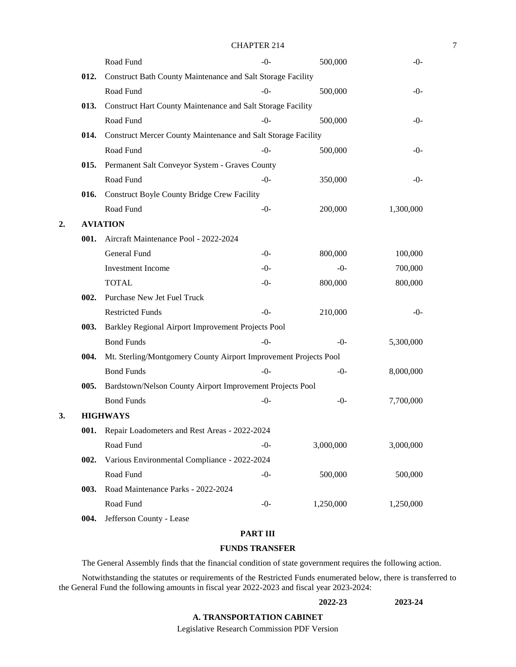|    |      |                                                                  | <b>CHAPTER 214</b> |           |           |  |  |  |
|----|------|------------------------------------------------------------------|--------------------|-----------|-----------|--|--|--|
|    |      | Road Fund                                                        | $-0-$              | 500,000   | $-()$ -   |  |  |  |
|    | 012. | Construct Bath County Maintenance and Salt Storage Facility      |                    |           |           |  |  |  |
|    |      | Road Fund                                                        | $-0-$              | 500,000   | $-()$ -   |  |  |  |
|    | 013. | Construct Hart County Maintenance and Salt Storage Facility      |                    |           |           |  |  |  |
|    |      | Road Fund                                                        | $-0-$              | 500,000   | $-()$ -   |  |  |  |
|    | 014. | Construct Mercer County Maintenance and Salt Storage Facility    |                    |           |           |  |  |  |
|    |      | Road Fund                                                        | $-0-$              | 500,000   | $-()$ -   |  |  |  |
|    | 015. | Permanent Salt Conveyor System - Graves County                   |                    |           |           |  |  |  |
|    |      | Road Fund                                                        | $-0-$              | 350,000   | $-0-$     |  |  |  |
|    | 016. | Construct Boyle County Bridge Crew Facility                      |                    |           |           |  |  |  |
|    |      | Road Fund                                                        | $-0-$              | 200,000   | 1,300,000 |  |  |  |
| 2. |      | <b>AVIATION</b>                                                  |                    |           |           |  |  |  |
|    | 001. | Aircraft Maintenance Pool - 2022-2024                            |                    |           |           |  |  |  |
|    |      | General Fund                                                     | $-0-$              | 800,000   | 100,000   |  |  |  |
|    |      | <b>Investment Income</b>                                         | $-0-$              | $-0-$     | 700,000   |  |  |  |
|    |      | <b>TOTAL</b>                                                     | $-0-$              | 800,000   | 800,000   |  |  |  |
|    | 002. | Purchase New Jet Fuel Truck                                      |                    |           |           |  |  |  |
|    |      | <b>Restricted Funds</b>                                          | $-0-$              | 210,000   | $-()$ -   |  |  |  |
|    | 003. | Barkley Regional Airport Improvement Projects Pool               |                    |           |           |  |  |  |
|    |      | <b>Bond Funds</b>                                                | $-0-$              | $-()$     | 5,300,000 |  |  |  |
|    | 004. | Mt. Sterling/Montgomery County Airport Improvement Projects Pool |                    |           |           |  |  |  |
|    |      | <b>Bond Funds</b>                                                | $-0-$              | $-0-$     | 8,000,000 |  |  |  |
|    | 005. | Bardstown/Nelson County Airport Improvement Projects Pool        |                    |           |           |  |  |  |
|    |      | <b>Bond Funds</b>                                                | $-0-$              | $-0-$     | 7,700,000 |  |  |  |
| 3. |      | <b>HIGHWAYS</b>                                                  |                    |           |           |  |  |  |
|    |      | 001. Repair Loadometers and Rest Areas - 2022-2024               |                    |           |           |  |  |  |
|    |      | Road Fund                                                        | $-0-$              | 3,000,000 | 3,000,000 |  |  |  |
|    | 002. | Various Environmental Compliance - 2022-2024                     |                    |           |           |  |  |  |
|    |      | Road Fund                                                        | $-0-$              | 500,000   | 500,000   |  |  |  |
|    | 003. | Road Maintenance Parks - 2022-2024                               |                    |           |           |  |  |  |
|    |      | Road Fund                                                        | $-0-$              | 1,250,000 | 1,250,000 |  |  |  |
|    | 004. | Jefferson County - Lease                                         |                    |           |           |  |  |  |
|    |      |                                                                  | <b>PART III</b>    |           |           |  |  |  |

## **FUNDS TRANSFER**

The General Assembly finds that the financial condition of state government requires the following action.

Notwithstanding the statutes or requirements of the Restricted Funds enumerated below, there is transferred to the General Fund the following amounts in fiscal year 2022-2023 and fiscal year 2023-2024:

## **2022-23 2023-24**

## **A. TRANSPORTATION CABINET**

Legislative Research Commission PDF Version